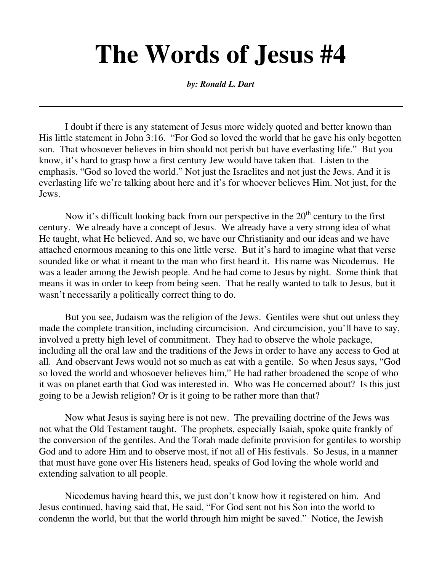## **The Words of Jesus #4**

*by: Ronald L. Dart*

 I doubt if there is any statement of Jesus more widely quoted and better known than His little statement in John 3:16. "For God so loved the world that he gave his only begotten son. That whosoever believes in him should not perish but have everlasting life." But you know, it's hard to grasp how a first century Jew would have taken that. Listen to the emphasis. "God so loved the world." Not just the Israelites and not just the Jews. And it is everlasting life we're talking about here and it's for whoever believes Him. Not just, for the Jews.

Now it's difficult looking back from our perspective in the  $20<sup>th</sup>$  century to the first century. We already have a concept of Jesus. We already have a very strong idea of what He taught, what He believed. And so, we have our Christianity and our ideas and we have attached enormous meaning to this one little verse. But it's hard to imagine what that verse sounded like or what it meant to the man who first heard it. His name was Nicodemus. He was a leader among the Jewish people. And he had come to Jesus by night. Some think that means it was in order to keep from being seen. That he really wanted to talk to Jesus, but it wasn't necessarily a politically correct thing to do.

 But you see, Judaism was the religion of the Jews. Gentiles were shut out unless they made the complete transition, including circumcision. And circumcision, you'll have to say, involved a pretty high level of commitment. They had to observe the whole package, including all the oral law and the traditions of the Jews in order to have any access to God at all. And observant Jews would not so much as eat with a gentile. So when Jesus says, "God so loved the world and whosoever believes him," He had rather broadened the scope of who it was on planet earth that God was interested in. Who was He concerned about? Is this just going to be a Jewish religion? Or is it going to be rather more than that?

 Now what Jesus is saying here is not new. The prevailing doctrine of the Jews was not what the Old Testament taught. The prophets, especially Isaiah, spoke quite frankly of the conversion of the gentiles. And the Torah made definite provision for gentiles to worship God and to adore Him and to observe most, if not all of His festivals. So Jesus, in a manner that must have gone over His listeners head, speaks of God loving the whole world and extending salvation to all people.

 Nicodemus having heard this, we just don't know how it registered on him. And Jesus continued, having said that, He said, "For God sent not his Son into the world to condemn the world, but that the world through him might be saved." Notice, the Jewish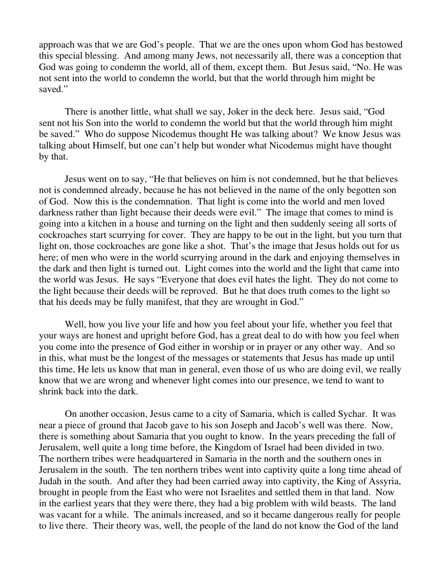approach was that we are God's people. That we are the ones upon whom God has bestowed this special blessing. And among many Jews, not necessarily all, there was a conception that God was going to condemn the world, all of them, except them. But Jesus said, "No. He was not sent into the world to condemn the world, but that the world through him might be saved."

 There is another little, what shall we say, Joker in the deck here. Jesus said, "God sent not his Son into the world to condemn the world but that the world through him might be saved." Who do suppose Nicodemus thought He was talking about? We know Jesus was talking about Himself, but one can't help but wonder what Nicodemus might have thought by that.

 Jesus went on to say, "He that believes on him is not condemned, but he that believes not is condemned already, because he has not believed in the name of the only begotten son of God. Now this is the condemnation. That light is come into the world and men loved darkness rather than light because their deeds were evil." The image that comes to mind is going into a kitchen in a house and turning on the light and then suddenly seeing all sorts of cockroaches start scurrying for cover. They are happy to be out in the light, but you turn that light on, those cockroaches are gone like a shot. That's the image that Jesus holds out for us here; of men who were in the world scurrying around in the dark and enjoying themselves in the dark and then light is turned out. Light comes into the world and the light that came into the world was Jesus. He says "Everyone that does evil hates the light. They do not come to the light because their deeds will be reproved. But he that does truth comes to the light so that his deeds may be fully manifest, that they are wrought in God."

 Well, how you live your life and how you feel about your life, whether you feel that your ways are honest and upright before God, has a great deal to do with how you feel when you come into the presence of God either in worship or in prayer or any other way. And so in this, what must be the longest of the messages or statements that Jesus has made up until this time, He lets us know that man in general, even those of us who are doing evil, we really know that we are wrong and whenever light comes into our presence, we tend to want to shrink back into the dark.

 On another occasion, Jesus came to a city of Samaria, which is called Sychar. It was near a piece of ground that Jacob gave to his son Joseph and Jacob's well was there. Now, there is something about Samaria that you ought to know. In the years preceding the fall of Jerusalem, well quite a long time before, the Kingdom of Israel had been divided in two. The northern tribes were headquartered in Samaria in the north and the southern ones in Jerusalem in the south. The ten northern tribes went into captivity quite a long time ahead of Judah in the south. And after they had been carried away into captivity, the King of Assyria, brought in people from the East who were not Israelites and settled them in that land. Now in the earliest years that they were there, they had a big problem with wild beasts. The land was vacant for a while. The animals increased, and so it became dangerous really for people to live there. Their theory was, well, the people of the land do not know the God of the land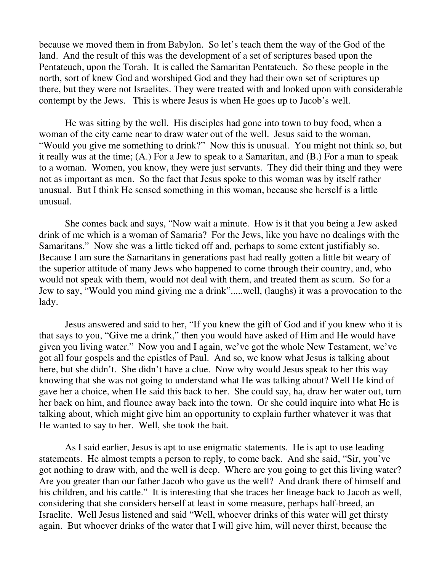because we moved them in from Babylon. So let's teach them the way of the God of the land. And the result of this was the development of a set of scriptures based upon the Pentateuch, upon the Torah. It is called the Samaritan Pentateuch. So these people in the north, sort of knew God and worshiped God and they had their own set of scriptures up there, but they were not Israelites. They were treated with and looked upon with considerable contempt by the Jews. This is where Jesus is when He goes up to Jacob's well.

 He was sitting by the well. His disciples had gone into town to buy food, when a woman of the city came near to draw water out of the well. Jesus said to the woman, "Would you give me something to drink?" Now this is unusual. You might not think so, but it really was at the time; (A.) For a Jew to speak to a Samaritan, and (B.) For a man to speak to a woman. Women, you know, they were just servants. They did their thing and they were not as important as men. So the fact that Jesus spoke to this woman was by itself rather unusual. But I think He sensed something in this woman, because she herself is a little unusual.

 She comes back and says, "Now wait a minute. How is it that you being a Jew asked drink of me which is a woman of Samaria? For the Jews, like you have no dealings with the Samaritans." Now she was a little ticked off and, perhaps to some extent justifiably so. Because I am sure the Samaritans in generations past had really gotten a little bit weary of the superior attitude of many Jews who happened to come through their country, and, who would not speak with them, would not deal with them, and treated them as scum. So for a Jew to say, "Would you mind giving me a drink".....well, (laughs) it was a provocation to the lady.

 Jesus answered and said to her, "If you knew the gift of God and if you knew who it is that says to you, "Give me a drink," then you would have asked of Him and He would have given you living water." Now you and I again, we've got the whole New Testament, we've got all four gospels and the epistles of Paul. And so, we know what Jesus is talking about here, but she didn't. She didn't have a clue. Now why would Jesus speak to her this way knowing that she was not going to understand what He was talking about? Well He kind of gave her a choice, when He said this back to her. She could say, ha, draw her water out, turn her back on him, and flounce away back into the town. Or she could inquire into what He is talking about, which might give him an opportunity to explain further whatever it was that He wanted to say to her. Well, she took the bait.

 As I said earlier, Jesus is apt to use enigmatic statements. He is apt to use leading statements. He almost tempts a person to reply, to come back. And she said, "Sir, you've got nothing to draw with, and the well is deep. Where are you going to get this living water? Are you greater than our father Jacob who gave us the well? And drank there of himself and his children, and his cattle." It is interesting that she traces her lineage back to Jacob as well, considering that she considers herself at least in some measure, perhaps half-breed, an Israelite. Well Jesus listened and said "Well, whoever drinks of this water will get thirsty again. But whoever drinks of the water that I will give him, will never thirst, because the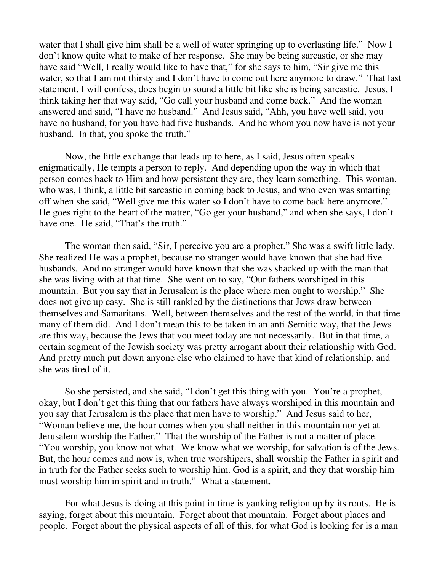water that I shall give him shall be a well of water springing up to everlasting life." Now I don't know quite what to make of her response. She may be being sarcastic, or she may have said "Well, I really would like to have that," for she says to him, "Sir give me this water, so that I am not thirsty and I don't have to come out here anymore to draw." That last statement, I will confess, does begin to sound a little bit like she is being sarcastic. Jesus, I think taking her that way said, "Go call your husband and come back." And the woman answered and said, "I have no husband." And Jesus said, "Ahh, you have well said, you have no husband, for you have had five husbands. And he whom you now have is not your husband. In that, you spoke the truth."

 Now, the little exchange that leads up to here, as I said, Jesus often speaks enigmatically, He tempts a person to reply. And depending upon the way in which that person comes back to Him and how persistent they are, they learn something. This woman, who was, I think, a little bit sarcastic in coming back to Jesus, and who even was smarting off when she said, "Well give me this water so I don't have to come back here anymore." He goes right to the heart of the matter, "Go get your husband," and when she says, I don't have one. He said, "That's the truth."

 The woman then said, "Sir, I perceive you are a prophet." She was a swift little lady. She realized He was a prophet, because no stranger would have known that she had five husbands. And no stranger would have known that she was shacked up with the man that she was living with at that time. She went on to say, "Our fathers worshiped in this mountain. But you say that in Jerusalem is the place where men ought to worship." She does not give up easy. She is still rankled by the distinctions that Jews draw between themselves and Samaritans. Well, between themselves and the rest of the world, in that time many of them did. And I don't mean this to be taken in an anti-Semitic way, that the Jews are this way, because the Jews that you meet today are not necessarily. But in that time, a certain segment of the Jewish society was pretty arrogant about their relationship with God. And pretty much put down anyone else who claimed to have that kind of relationship, and she was tired of it.

 So she persisted, and she said, "I don't get this thing with you. You're a prophet, okay, but I don't get this thing that our fathers have always worshiped in this mountain and you say that Jerusalem is the place that men have to worship." And Jesus said to her, "Woman believe me, the hour comes when you shall neither in this mountain nor yet at Jerusalem worship the Father." That the worship of the Father is not a matter of place. "You worship, you know not what. We know what we worship, for salvation is of the Jews. But, the hour comes and now is, when true worshipers, shall worship the Father in spirit and in truth for the Father seeks such to worship him. God is a spirit, and they that worship him must worship him in spirit and in truth." What a statement.

 For what Jesus is doing at this point in time is yanking religion up by its roots. He is saying, forget about this mountain. Forget about that mountain. Forget about places and people. Forget about the physical aspects of all of this, for what God is looking for is a man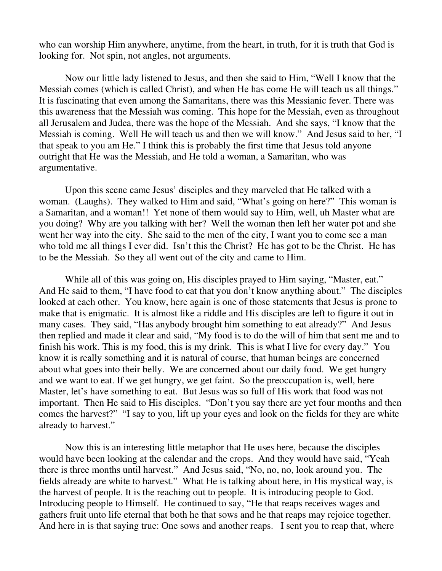who can worship Him anywhere, anytime, from the heart, in truth, for it is truth that God is looking for. Not spin, not angles, not arguments.

 Now our little lady listened to Jesus, and then she said to Him, "Well I know that the Messiah comes (which is called Christ), and when He has come He will teach us all things." It is fascinating that even among the Samaritans, there was this Messianic fever. There was this awareness that the Messiah was coming. This hope for the Messiah, even as throughout all Jerusalem and Judea, there was the hope of the Messiah. And she says, "I know that the Messiah is coming. Well He will teach us and then we will know." And Jesus said to her, "I that speak to you am He." I think this is probably the first time that Jesus told anyone outright that He was the Messiah, and He told a woman, a Samaritan, who was argumentative.

 Upon this scene came Jesus' disciples and they marveled that He talked with a woman. (Laughs). They walked to Him and said, "What's going on here?" This woman is a Samaritan, and a woman!! Yet none of them would say to Him, well, uh Master what are you doing? Why are you talking with her? Well the woman then left her water pot and she went her way into the city. She said to the men of the city, I want you to come see a man who told me all things I ever did. Isn't this the Christ? He has got to be the Christ. He has to be the Messiah. So they all went out of the city and came to Him.

 While all of this was going on, His disciples prayed to Him saying, "Master, eat." And He said to them, "I have food to eat that you don't know anything about." The disciples looked at each other. You know, here again is one of those statements that Jesus is prone to make that is enigmatic. It is almost like a riddle and His disciples are left to figure it out in many cases. They said, "Has anybody brought him something to eat already?" And Jesus then replied and made it clear and said, "My food is to do the will of him that sent me and to finish his work. This is my food, this is my drink. This is what I live for every day." You know it is really something and it is natural of course, that human beings are concerned about what goes into their belly. We are concerned about our daily food. We get hungry and we want to eat. If we get hungry, we get faint. So the preoccupation is, well, here Master, let's have something to eat. But Jesus was so full of His work that food was not important. Then He said to His disciples. "Don't you say there are yet four months and then comes the harvest?" "I say to you, lift up your eyes and look on the fields for they are white already to harvest."

 Now this is an interesting little metaphor that He uses here, because the disciples would have been looking at the calendar and the crops. And they would have said, "Yeah there is three months until harvest." And Jesus said, "No, no, no, look around you. The fields already are white to harvest." What He is talking about here, in His mystical way, is the harvest of people. It is the reaching out to people. It is introducing people to God. Introducing people to Himself. He continued to say, "He that reaps receives wages and gathers fruit unto life eternal that both he that sows and he that reaps may rejoice together. And here in is that saying true: One sows and another reaps. I sent you to reap that, where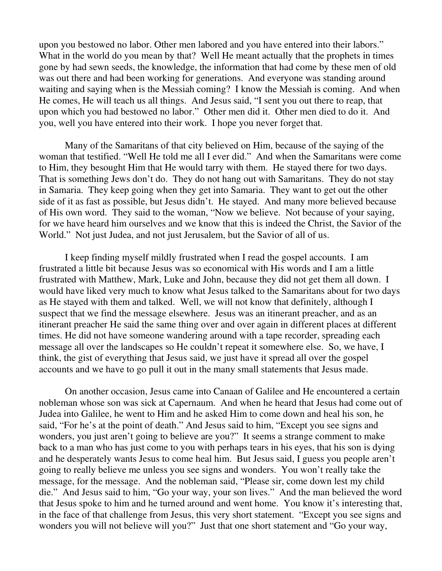upon you bestowed no labor. Other men labored and you have entered into their labors." What in the world do you mean by that? Well He meant actually that the prophets in times gone by had sewn seeds, the knowledge, the information that had come by these men of old was out there and had been working for generations. And everyone was standing around waiting and saying when is the Messiah coming? I know the Messiah is coming. And when He comes, He will teach us all things. And Jesus said, "I sent you out there to reap, that upon which you had bestowed no labor." Other men did it. Other men died to do it. And you, well you have entered into their work. I hope you never forget that.

 Many of the Samaritans of that city believed on Him, because of the saying of the woman that testified. "Well He told me all I ever did." And when the Samaritans were come to Him, they besought Him that He would tarry with them. He stayed there for two days. That is something Jews don't do. They do not hang out with Samaritans. They do not stay in Samaria. They keep going when they get into Samaria. They want to get out the other side of it as fast as possible, but Jesus didn't. He stayed. And many more believed because of His own word. They said to the woman, "Now we believe. Not because of your saying, for we have heard him ourselves and we know that this is indeed the Christ, the Savior of the World." Not just Judea, and not just Jerusalem, but the Savior of all of us.

 I keep finding myself mildly frustrated when I read the gospel accounts. I am frustrated a little bit because Jesus was so economical with His words and I am a little frustrated with Matthew, Mark, Luke and John, because they did not get them all down. I would have liked very much to know what Jesus talked to the Samaritans about for two days as He stayed with them and talked. Well, we will not know that definitely, although I suspect that we find the message elsewhere. Jesus was an itinerant preacher, and as an itinerant preacher He said the same thing over and over again in different places at different times. He did not have someone wandering around with a tape recorder, spreading each message all over the landscapes so He couldn't repeat it somewhere else. So, we have, I think, the gist of everything that Jesus said, we just have it spread all over the gospel accounts and we have to go pull it out in the many small statements that Jesus made.

 On another occasion, Jesus came into Canaan of Galilee and He encountered a certain nobleman whose son was sick at Capernaum. And when he heard that Jesus had come out of Judea into Galilee, he went to Him and he asked Him to come down and heal his son, he said, "For he's at the point of death." And Jesus said to him, "Except you see signs and wonders, you just aren't going to believe are you?" It seems a strange comment to make back to a man who has just come to you with perhaps tears in his eyes, that his son is dying and he desperately wants Jesus to come heal him. But Jesus said, I guess you people aren't going to really believe me unless you see signs and wonders. You won't really take the message, for the message. And the nobleman said, "Please sir, come down lest my child die." And Jesus said to him, "Go your way, your son lives." And the man believed the word that Jesus spoke to him and he turned around and went home. You know it's interesting that, in the face of that challenge from Jesus, this very short statement. "Except you see signs and wonders you will not believe will you?" Just that one short statement and "Go your way,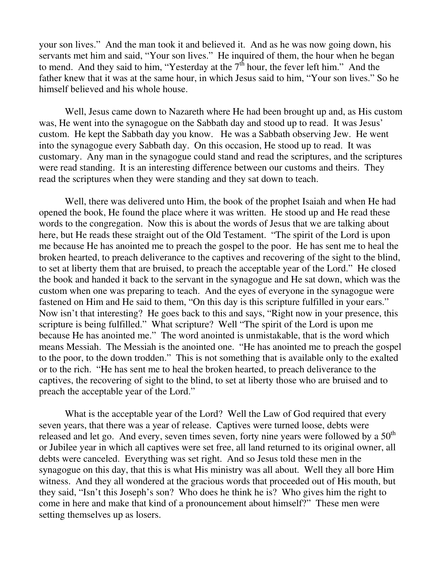your son lives." And the man took it and believed it. And as he was now going down, his servants met him and said, "Your son lives." He inquired of them, the hour when he began to mend. And they said to him, "Yesterday at the  $7<sup>th</sup>$  hour, the fever left him." And the father knew that it was at the same hour, in which Jesus said to him, "Your son lives." So he himself believed and his whole house.

 Well, Jesus came down to Nazareth where He had been brought up and, as His custom was, He went into the synagogue on the Sabbath day and stood up to read. It was Jesus' custom. He kept the Sabbath day you know. He was a Sabbath observing Jew. He went into the synagogue every Sabbath day. On this occasion, He stood up to read. It was customary. Any man in the synagogue could stand and read the scriptures, and the scriptures were read standing. It is an interesting difference between our customs and theirs. They read the scriptures when they were standing and they sat down to teach.

 Well, there was delivered unto Him, the book of the prophet Isaiah and when He had opened the book, He found the place where it was written. He stood up and He read these words to the congregation. Now this is about the words of Jesus that we are talking about here, but He reads these straight out of the Old Testament. "The spirit of the Lord is upon me because He has anointed me to preach the gospel to the poor. He has sent me to heal the broken hearted, to preach deliverance to the captives and recovering of the sight to the blind, to set at liberty them that are bruised, to preach the acceptable year of the Lord." He closed the book and handed it back to the servant in the synagogue and He sat down, which was the custom when one was preparing to teach. And the eyes of everyone in the synagogue were fastened on Him and He said to them, "On this day is this scripture fulfilled in your ears." Now isn't that interesting? He goes back to this and says, "Right now in your presence, this scripture is being fulfilled." What scripture? Well "The spirit of the Lord is upon me because He has anointed me." The word anointed is unmistakable, that is the word which means Messiah. The Messiah is the anointed one. "He has anointed me to preach the gospel to the poor, to the down trodden." This is not something that is available only to the exalted or to the rich. "He has sent me to heal the broken hearted, to preach deliverance to the captives, the recovering of sight to the blind, to set at liberty those who are bruised and to preach the acceptable year of the Lord."

 What is the acceptable year of the Lord? Well the Law of God required that every seven years, that there was a year of release. Captives were turned loose, debts were released and let go. And every, seven times seven, forty nine years were followed by a  $50<sup>th</sup>$ or Jubilee year in which all captives were set free, all land returned to its original owner, all debts were canceled. Everything was set right. And so Jesus told these men in the synagogue on this day, that this is what His ministry was all about. Well they all bore Him witness. And they all wondered at the gracious words that proceeded out of His mouth, but they said, "Isn't this Joseph's son? Who does he think he is? Who gives him the right to come in here and make that kind of a pronouncement about himself?" These men were setting themselves up as losers.